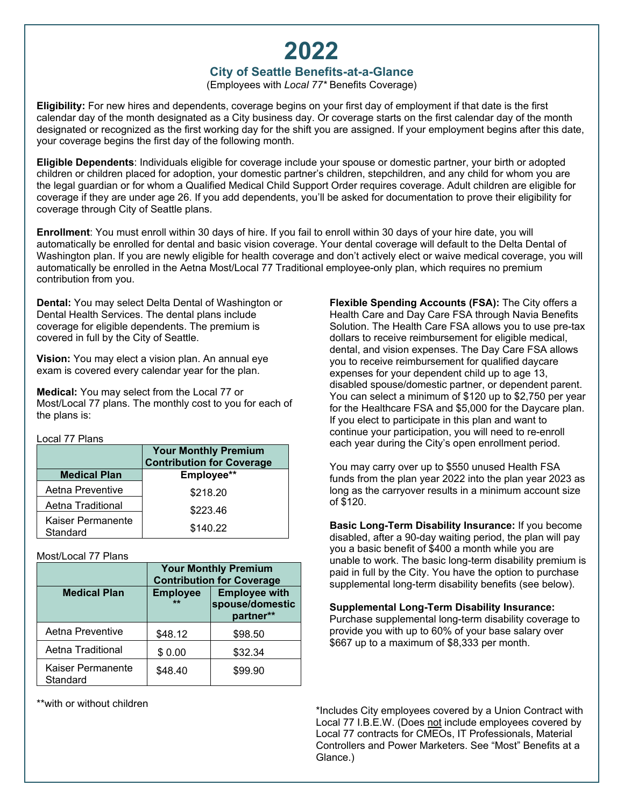# **2022**

## **City of Seattle Benefits-at-a-Glance**

(Employees with *Local 77\** Benefits Coverage)

**Eligibility:** For new hires and dependents, coverage begins on your first day of employment if that date is the first calendar day of the month designated as a City business day. Or coverage starts on the first calendar day of the month designated or recognized as the first working day for the shift you are assigned. If your employment begins after this date, your coverage begins the first day of the following month.

**Eligible Dependents**: Individuals eligible for coverage include your spouse or domestic partner, your birth or adopted children or children placed for adoption, your domestic partner's children, stepchildren, and any child for whom you are the legal guardian or for whom a Qualified Medical Child Support Order requires coverage. Adult children are eligible for coverage if they are under age 26. If you add dependents, you'll be asked for documentation to prove their eligibility for coverage through City of Seattle plans.

**Enrollment**: You must enroll within 30 days of hire. If you fail to enroll within 30 days of your hire date, you will automatically be enrolled for dental and basic vision coverage. Your dental coverage will default to the Delta Dental of Washington plan. If you are newly eligible for health coverage and don't actively elect or waive medical coverage, you will automatically be enrolled in the Aetna Most/Local 77 Traditional employee-only plan, which requires no premium contribution from you.

**Dental:** You may select Delta Dental of Washington or Dental Health Services. The dental plans include coverage for eligible dependents. The premium is covered in full by the City of Seattle.

**Vision:** You may elect a vision plan. An annual eye exam is covered every calendar year for the plan.

**Medical:** You may select from the Local 77 or Most/Local 77 plans. The monthly cost to you for each of the plans is:

Local 77 Plans

|                     | <b>Your Monthly Premium</b><br><b>Contribution for Coverage</b> |  |
|---------------------|-----------------------------------------------------------------|--|
| <b>Medical Plan</b> | Employee**                                                      |  |
| Aetna Preventive    | \$218.20                                                        |  |
| Aetna Traditional   | \$223.46                                                        |  |
| Kaiser Permanente   |                                                                 |  |
| Standard            | \$140.22                                                        |  |

Most/Local 77 Plans

|                               | <b>Your Monthly Premium</b><br><b>Contribution for Coverage</b> |                                                      |  |
|-------------------------------|-----------------------------------------------------------------|------------------------------------------------------|--|
| <b>Medical Plan</b>           | <b>Employee</b><br>**                                           | <b>Employee with</b><br>spouse/domestic<br>partner** |  |
| Aetna Preventive              | \$48.12                                                         | \$98.50                                              |  |
| Aetna Traditional             | \$0.00                                                          | \$32.34                                              |  |
| Kaiser Permanente<br>Standard | \$48.40                                                         | \$99.90                                              |  |

\*\*with or without children

**Flexible Spending Accounts (FSA):** The City offers a Health Care and Day Care FSA through Navia Benefits Solution. The Health Care FSA allows you to use pre-tax dollars to receive reimbursement for eligible medical, dental, and vision expenses. The Day Care FSA allows you to receive reimbursement for qualified daycare expenses for your dependent child up to age 13, disabled spouse/domestic partner, or dependent parent. You can select a minimum of \$120 up to \$2,750 per year for the Healthcare FSA and \$5,000 for the Daycare plan. If you elect to participate in this plan and want to continue your participation, you will need to re-enroll each year during the City's open enrollment period.

You may carry over up to \$550 unused Health FSA funds from the plan year 2022 into the plan year 2023 as long as the carryover results in a minimum account size of \$120.

**Basic Long-Term Disability Insurance:** If you become disabled, after a 90-day waiting period, the plan will pay you a basic benefit of \$400 a month while you are unable to work. The basic long-term disability premium is paid in full by the City. You have the option to purchase supplemental long-term disability benefits (see below).

**Supplemental Long-Term Disability Insurance:** 

Purchase supplemental long-term disability coverage to provide you with up to 60% of your base salary over \$667 up to a maximum of \$8,333 per month.

\*Includes City employees covered by a Union Contract with Local 77 I.B.E.W. (Does not include employees covered by Local 77 contracts for CMEOs, IT Professionals, Material Controllers and Power Marketers. See "Most" Benefits at a Glance.)